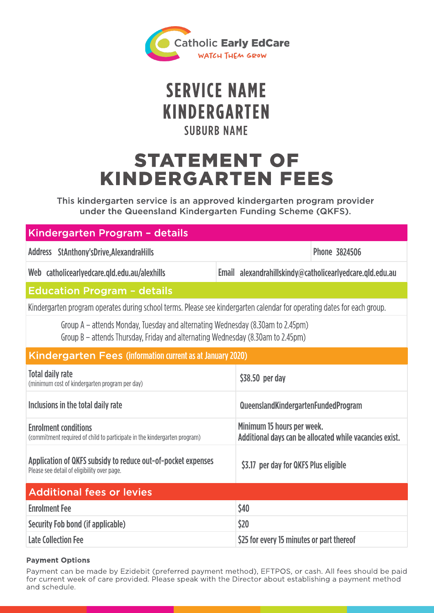

# **SERVICE NAME SUBURB NAME** KINDERGARTEN

# STATEMENT OF KINDERGA RTEN FEES

This kindergarten service is an approved kindergarten program provider under the Queensland Kindergarten Funding Scheme (QKFS).

## Kindergarten Program - details

Address StAnthony'sDrive,AlexandraHills 3824506 and 3824506

Web catholicearlyedcare.gld.edu.au/alexhills

Email alexandrahillskindy@catholicearlyedcare.qld.edu.au

## **Education Program - details**

Kindergarten program operates during school terms. Please see kindergarten calendar for operating dates for each group.

Group A – attends Monday, Tuesday and alternating Wednesday (8.30am to 2.45pm) Group B – attends Thursday, Friday and alternating Wednesday (8.30am to 2.45pm)

### Kindergarten Fees (information current as at January 2020)

| Total daily rate<br>(minimum cost of kindergarten program per day)                                          | \$38.50 per day                                                                       |
|-------------------------------------------------------------------------------------------------------------|---------------------------------------------------------------------------------------|
| Inclusions in the total daily rate                                                                          | QueenslandKindergartenFundedProgram                                                   |
| <b>Enrolment conditions</b><br>(commitment required of child to participate in the kindergarten program)    | Minimum 15 hours per week.<br>Additional days can be allocated while vacancies exist. |
| Application of QKFS subsidy to reduce out-of-pocket expenses<br>Please see detail of eligibility over page. | \$3.17 per day for QKFS Plus eligible                                                 |
| <b>Additional fees or levies</b>                                                                            |                                                                                       |
| <b>Enrolment Fee</b>                                                                                        | \$40                                                                                  |
| Security Fob bond (if applicable)                                                                           | \$20                                                                                  |
|                                                                                                             |                                                                                       |

# Late Collection Fee **Example 20** S25 for every 15 minutes or part thereof

### Payment Options

Payment can be made by Ezidebit (preferred payment method), EFTPOS, or cash. All fees should be paid for current week of care provided. Please speak with the Director about establishing a payment method and schedule.